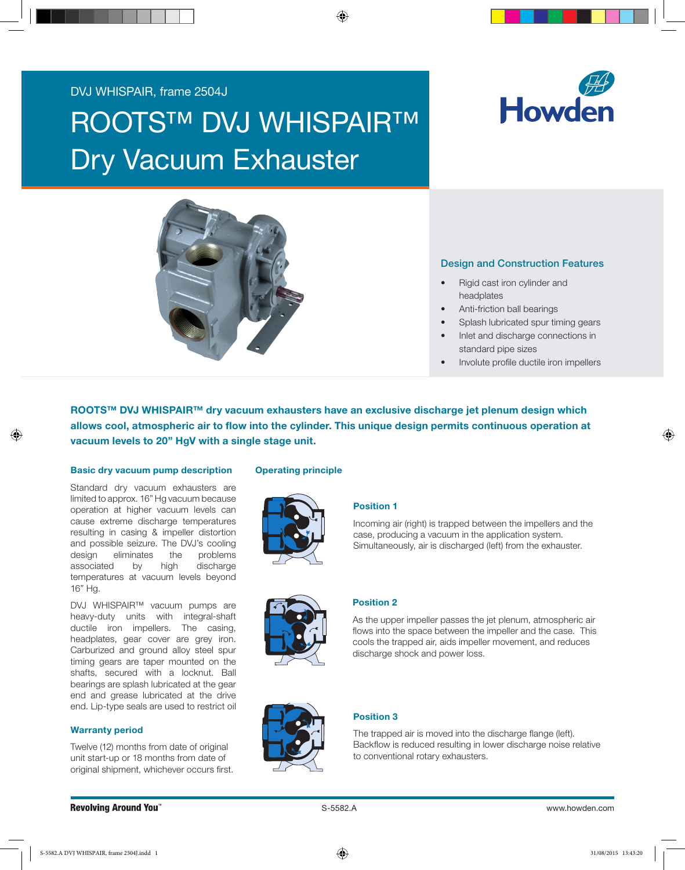# DVJ WHISPAIR, frame 2504J

# **ROOTS™ DVJ WHISPAIR™** Dry Vacuum Exhauster





# Design and Construction Features

- Rigid cast iron cylinder and headplates
- Anti-friction ball bearings
- Splash lubricated spur timing gears
- Inlet and discharge connections in standard pipe sizes
- Involute profile ductile iron impellers

ROOTS™ DVJ WHISPAIR™ dry vacuum exhausters have an exclusive discharge jet plenum design which allows cool, atmospheric air to flow into the cylinder. This unique design permits continuous operation at vacuum levels to 20" HgV with a single stage unit.

#### Basic dry vacuum pump description

Standard dry vacuum exhausters are limited to approx. 16" Hg vacuum because operation at higher vacuum levels can cause extreme discharge temperatures resulting in casing & impeller distortion and possible seizure. The DVJ's cooling design eliminates the problems associated by high discharge temperatures at vacuum levels beyond 16" Hg.

DVJ WHISPAIR™ vacuum pumps are heavy-duty units with integral-shaft ductile iron impellers. The casing, headplates, gear cover are grey iron. Carburized and ground alloy steel spur timing gears are taper mounted on the shafts, secured with a locknut. Ball bearings are splash lubricated at the gear end and grease lubricated at the drive end. Lip-type seals are used to restrict oil

# Warranty period

Twelve (12) months from date of original unit start-up or 18 months from date of original shipment, whichever occurs first.

#### Operating principle





# Position 1

Incoming air (right) is trapped between the impellers and the case, producing a vacuum in the application system. Simultaneously, air is discharged (left) from the exhauster.



#### Position 2

As the upper impeller passes the jet plenum, atmospheric air flows into the space between the impeller and the case. This cools the trapped air, aids impeller movement, and reduces discharge shock and power loss.



# Position 3

The trapped air is moved into the discharge flange (left). Backflow is reduced resulting in lower discharge noise relative to conventional rotary exhausters.